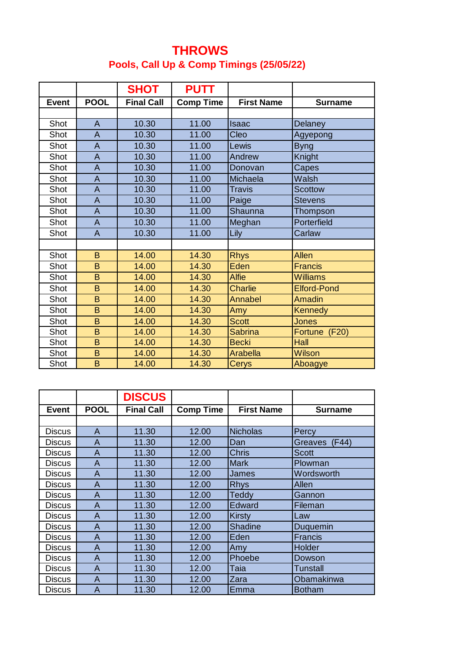## **THROWS Pools, Call Up & Comp Timings (25/05/22)**

|              |                | <b>SHOT</b>       | <b>PUTT</b>      |                   |                    |
|--------------|----------------|-------------------|------------------|-------------------|--------------------|
| <b>Event</b> | <b>POOL</b>    | <b>Final Call</b> | <b>Comp Time</b> | <b>First Name</b> | <b>Surname</b>     |
|              |                |                   |                  |                   |                    |
| Shot         | $\overline{A}$ | 10.30             | 11.00            | <b>Isaac</b>      | Delaney            |
| Shot         | $\overline{A}$ | 10.30             | 11.00            | Cleo              | Agyepong           |
| Shot         | $\overline{A}$ | 10.30             | 11.00            | Lewis             | <b>Byng</b>        |
| Shot         | $\overline{A}$ | 10.30             | 11.00            | Andrew            | Knight             |
| Shot         | $\overline{A}$ | 10.30             | 11.00            | Donovan           | Capes              |
| Shot         | $\overline{A}$ | 10.30             | 11.00            | Michaela          | Walsh              |
| Shot         | $\overline{A}$ | 10.30             | 11.00            | <b>Travis</b>     | <b>Scottow</b>     |
| Shot         | $\overline{A}$ | 10.30             | 11.00            | Paige             | <b>Stevens</b>     |
| Shot         | $\overline{A}$ | 10.30             | 11.00            | Shaunna           | Thompson           |
| Shot         | $\overline{A}$ | 10.30             | 11.00            | Meghan            | Porterfield        |
| Shot         | $\overline{A}$ | 10.30             | 11.00            | Lily              | Carlaw             |
|              |                |                   |                  |                   |                    |
| Shot         | B              | 14.00             | 14.30            | <b>Rhys</b>       | Allen              |
| Shot         | B              | 14.00             | 14.30            | Eden              | <b>Francis</b>     |
| Shot         | B              | 14.00             | 14.30            | <b>Alfie</b>      | <b>Williams</b>    |
| Shot         | B              | 14.00             | 14.30            | <b>Charlie</b>    | <b>Elford-Pond</b> |
| Shot         | B              | 14.00             | 14.30            | Annabel           | <b>Amadin</b>      |
| Shot         | B              | 14.00             | 14.30            | Amy               | <b>Kennedy</b>     |
| Shot         | B              | 14.00             | 14.30            | <b>Scott</b>      | <b>Jones</b>       |
| Shot         | B              | 14.00             | 14.30            | <b>Sabrina</b>    | Fortune (F20)      |
| Shot         | B              | 14.00             | 14.30            | <b>Becki</b>      | Hall               |
| Shot         | B              | 14.00             | 14.30            | <b>Arabella</b>   | <b>Wilson</b>      |
| Shot         | B              | 14.00             | 14.30            | <b>Cerys</b>      | Aboagye            |

|               |                | <b>DISCUS</b>     |                  |                   |                |
|---------------|----------------|-------------------|------------------|-------------------|----------------|
| <b>Event</b>  | <b>POOL</b>    | <b>Final Call</b> | <b>Comp Time</b> | <b>First Name</b> | <b>Surname</b> |
|               |                |                   |                  |                   |                |
| <b>Discus</b> | A              | 11.30             | 12.00            | <b>Nicholas</b>   | Percy          |
| <b>Discus</b> | $\overline{A}$ | 11.30             | 12.00            | Dan               | Greaves (F44)  |
| <b>Discus</b> | A              | 11.30             | 12.00            | <b>Chris</b>      | <b>Scott</b>   |
| <b>Discus</b> | A              | 11.30             | 12.00            | <b>Mark</b>       | Plowman        |
| <b>Discus</b> | A              | 11.30             | 12.00            | James             | Wordsworth     |
| <b>Discus</b> | $\overline{A}$ | 11.30             | 12.00            | <b>Rhys</b>       | Allen          |
| <b>Discus</b> | A              | 11.30             | 12.00            | <b>Teddy</b>      | Gannon         |
| <b>Discus</b> | A              | 11.30             | 12.00            | Edward            | Fileman        |
| <b>Discus</b> | A              | 11.30             | 12.00            | <b>Kirsty</b>     | Law            |
| <b>Discus</b> | A              | 11.30             | 12.00            | <b>Shadine</b>    | Duquemin       |
| <b>Discus</b> | A              | 11.30             | 12.00            | Eden              | <b>Francis</b> |
| <b>Discus</b> | A              | 11.30             | 12.00            | Amy               | Holder         |
| <b>Discus</b> | $\overline{A}$ | 11.30             | 12.00            | Phoebe            | Dowson         |
| <b>Discus</b> | $\overline{A}$ | 11.30             | 12.00            | Taia              | Tunstall       |
| <b>Discus</b> | A              | 11.30             | 12.00            | Zara              | Obamakinwa     |
| <b>Discus</b> | A              | 11.30             | 12.00            | Emma              | <b>Botham</b>  |